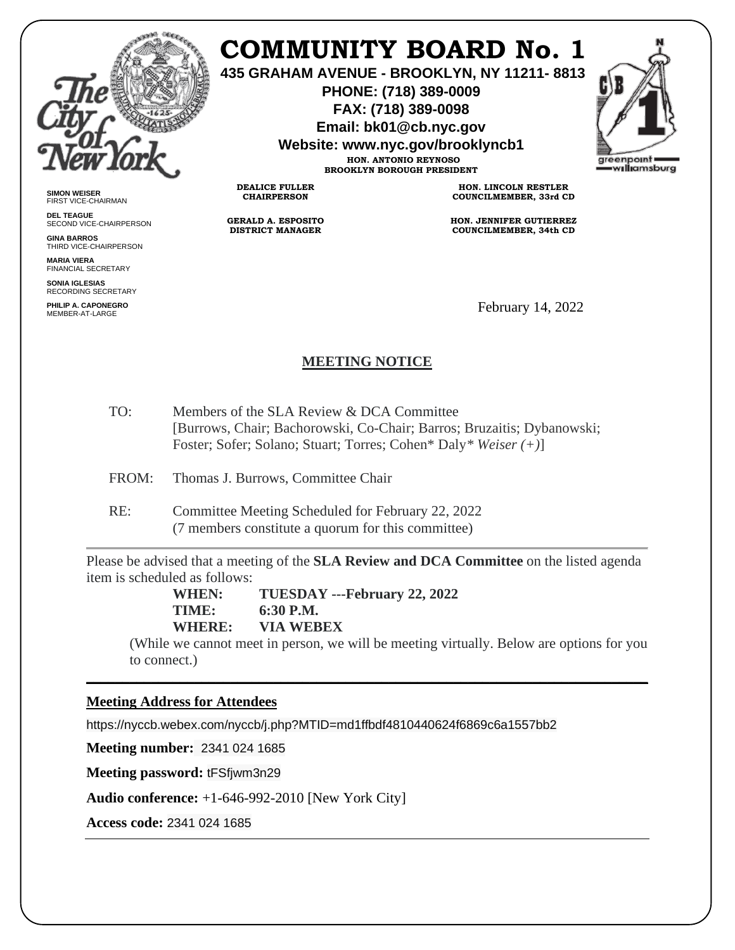

**SIMON WEISER** FIRST VICE-CHAIRMAN **DEL TEAGUE**

**GINA BARROS** THIRD VICE-CHAIRPERSON

**MARIA VIERA** FINANCIAL SECRETARY **SONIA IGLESIAS** RECORDING SECRETARY **PHILIP A. CAPONEGRO**

SECOND VICE-CHAIRPERSON

# **COMMUNITY BOARD No. 1**

**435 GRAHAM AVENUE - BROOKLYN, NY 11211- 8813**

**PHONE: (718) 389-0009 FAX: (718) 389-0098**

**Email: bk01@cb.nyc.gov**

**Website: www.nyc.gov/brooklyncb1**

**HON. ANTONIO REYNOSO BROOKLYN BOROUGH PRESIDENT**

**DEALICE FULLER CHAIRPERSON**

**GERALD A. ESPOSITO DISTRICT MANAGER**

**HON. LINCOLN RESTLER COUNCILMEMBER, 33rd CD**

**HON. JENNIFER GUTIERREZ COUNCILMEMBER, 34th CD**

February 14, 2022

# **MEETING NOTICE**

- TO: Members of the SLA Review & DCA Committee [Burrows, Chair; Bachorowski, Co-Chair; Barros; Bruzaitis; Dybanowski; Foster; Sofer; Solano; Stuart; Torres; Cohen\* Daly*\* Weiser (+)*]
- FROM: Thomas J. Burrows, Committee Chair
- RE: Committee Meeting Scheduled for February 22, 2022 (7 members constitute a quorum for this committee)

Please be advised that a meeting of the **SLA Review and DCA Committee** on the listed agenda item is scheduled as follows:

\_\_\_\_\_\_\_\_\_\_\_\_\_\_\_\_\_\_\_\_\_\_\_\_\_\_\_\_\_\_\_\_\_\_\_\_\_\_\_\_\_\_\_\_\_\_\_\_\_\_\_\_\_\_\_\_\_\_\_\_\_\_\_\_\_\_\_\_\_\_\_\_\_\_\_\_\_\_

**WHEN: TUESDAY ---February 22, 2022 TIME: 6:30 P.M. WHERE: VIA WEBEX**

(While we cannot meet in person, we will be meeting virtually. Below are options for you to connect.)

# **Meeting Address for Attendees**

https://nyccb.webex.com/nyccb/j.php?MTID=md1ffbdf4810440624f6869c6a1557bb2

**Meeting number:** 2341 024 1685

**Meeting password:** tFSfjwm3n29

**Audio conference:** +1-646-992-2010 [New York City]

**Access code:** 2341 024 1685

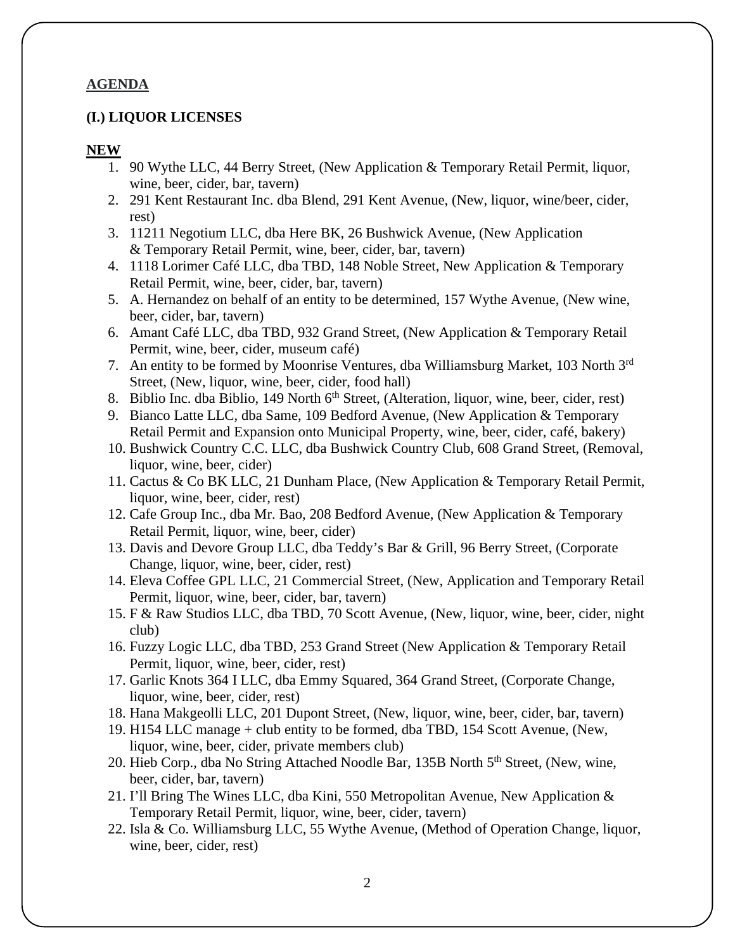# **AGENDA**

### **(I.) LIQUOR LICENSES**

#### **NEW**

- 1. 90 Wythe LLC, 44 Berry Street, (New Application  $&$  Temporary Retail Permit, liquor, wine, beer, cider, bar, tavern)
- 2. 291 Kent Restaurant Inc. dba Blend, 291 Kent Avenue, (New, liquor, wine/beer, cider, rest)
- 3. 11211 Negotium LLC, dba Here BK, 26 Bushwick Avenue, (New Application & Temporary Retail Permit, wine, beer, cider, bar, tavern)
- 4. 1118 Lorimer Café LLC, dba TBD, 148 Noble Street, New Application & Temporary Retail Permit, wine, beer, cider, bar, tavern)
- 5. A. Hernandez on behalf of an entity to be determined, 157 Wythe Avenue, (New wine, beer, cider, bar, tavern)
- 6. Amant Café LLC, dba TBD, 932 Grand Street, (New Application & Temporary Retail Permit, wine, beer, cider, museum café)
- 7. An entity to be formed by Moonrise Ventures, dba Williamsburg Market, 103 North 3rd Street, (New, liquor, wine, beer, cider, food hall)
- 8. Biblio Inc. dba Biblio, 149 North  $6<sup>th</sup>$  Street, (Alteration, liquor, wine, beer, cider, rest)
- 9. Bianco Latte LLC, dba Same, 109 Bedford Avenue, (New Application & Temporary Retail Permit and Expansion onto Municipal Property, wine, beer, cider, café, bakery)
- 10. Bushwick Country C.C. LLC, dba Bushwick Country Club, 608 Grand Street, (Removal, liquor, wine, beer, cider)
- 11. Cactus & Co BK LLC, 21 Dunham Place, (New Application & Temporary Retail Permit, liquor, wine, beer, cider, rest)
- 12. Cafe Group Inc., dba Mr. Bao, 208 Bedford Avenue, (New Application & Temporary Retail Permit, liquor, wine, beer, cider)
- 13. Davis and Devore Group LLC, dba Teddy's Bar & Grill, 96 Berry Street, (Corporate Change, liquor, wine, beer, cider, rest)
- 14. Eleva Coffee GPL LLC, 21 Commercial Street, (New, Application and Temporary Retail Permit, liquor, wine, beer, cider, bar, tavern)
- 15. F & Raw Studios LLC, dba TBD, 70 Scott Avenue, (New, liquor, wine, beer, cider, night club)
- 16. Fuzzy Logic LLC, dba TBD, 253 Grand Street (New Application & Temporary Retail Permit, liquor, wine, beer, cider, rest)
- 17. Garlic Knots 364 I LLC, dba Emmy Squared, 364 Grand Street, (Corporate Change, liquor, wine, beer, cider, rest)
- 18. Hana Makgeolli LLC, 201 Dupont Street, (New, liquor, wine, beer, cider, bar, tavern)
- 19. H154 LLC manage + club entity to be formed, dba TBD, 154 Scott Avenue, (New, liquor, wine, beer, cider, private members club)
- 20. Hieb Corp., dba No String Attached Noodle Bar, 135B North 5<sup>th</sup> Street, (New, wine, beer, cider, bar, tavern)
- 21. I'll Bring The Wines LLC, dba Kini, 550 Metropolitan Avenue, New Application & Temporary Retail Permit, liquor, wine, beer, cider, tavern)
- 22. Isla & Co. Williamsburg LLC, 55 Wythe Avenue, (Method of Operation Change, liquor, wine, beer, cider, rest)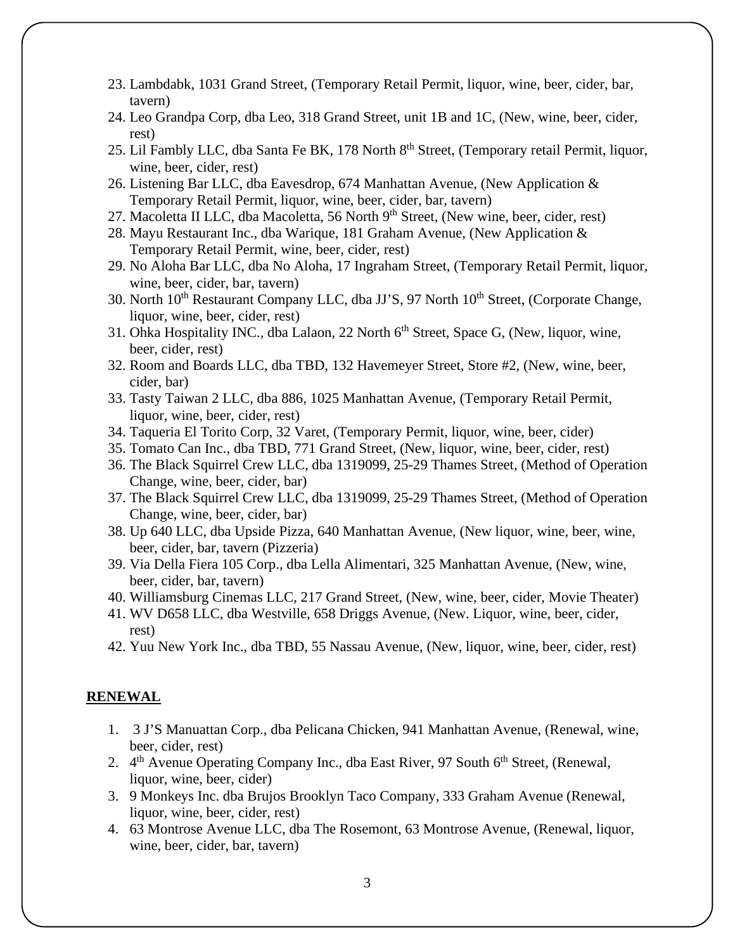- 23. Lambdabk, 1031 Grand Street, (Temporary Retail Permit, liquor, wine, beer, cider, bar, tavern)
- 24. Leo Grandpa Corp, dba Leo, 318 Grand Street, unit 1B and 1C, (New, wine, beer, cider, rest)
- 25. Lil Fambly LLC, dba Santa Fe BK, 178 North 8<sup>th</sup> Street, (Temporary retail Permit, liquor, wine, beer, cider, rest)
- 26. Listening Bar LLC, dba Eavesdrop, 674 Manhattan Avenue, (New Application & Temporary Retail Permit, liquor, wine, beer, cider, bar, tavern)
- 27. Macoletta II LLC, dba Macoletta, 56 North 9<sup>th</sup> Street, (New wine, beer, cider, rest)
- 28. Mayu Restaurant Inc., dba Warique, 181 Graham Avenue, (New Application & Temporary Retail Permit, wine, beer, cider, rest)
- 29. No Aloha Bar LLC, dba No Aloha, 17 Ingraham Street, (Temporary Retail Permit, liquor, wine, beer, cider, bar, tavern)
- 30. North 10<sup>th</sup> Restaurant Company LLC, dba JJ'S, 97 North 10<sup>th</sup> Street, (Corporate Change, liquor, wine, beer, cider, rest)
- 31. Ohka Hospitality INC., dba Lalaon, 22 North 6<sup>th</sup> Street, Space G, (New, liquor, wine, beer, cider, rest)
- 32. Room and Boards LLC, dba TBD, 132 Havemeyer Street, Store #2, (New, wine, beer, cider, bar)
- 33. Tasty Taiwan 2 LLC, dba 886, 1025 Manhattan Avenue, (Temporary Retail Permit, liquor, wine, beer, cider, rest)
- 34. Taqueria El Torito Corp, 32 Varet, (Temporary Permit, liquor, wine, beer, cider)
- 35. Tomato Can Inc., dba TBD, 771 Grand Street, (New, liquor, wine, beer, cider, rest)
- 36. The Black Squirrel Crew LLC, dba 1319099, 25-29 Thames Street, (Method of Operation Change, wine, beer, cider, bar)
- 37. The Black Squirrel Crew LLC, dba 1319099, 25-29 Thames Street, (Method of Operation Change, wine, beer, cider, bar)
- 38. Up 640 LLC, dba Upside Pizza, 640 Manhattan Avenue, (New liquor, wine, beer, wine, beer, cider, bar, tavern (Pizzeria)
- 39. Via Della Fiera 105 Corp., dba Lella Alimentari, 325 Manhattan Avenue, (New, wine, beer, cider, bar, tavern)
- 40. Williamsburg Cinemas LLC, 217 Grand Street, (New, wine, beer, cider, Movie Theater)
- 41. WV D658 LLC, dba Westville, 658 Driggs Avenue, (New. Liquor, wine, beer, cider, rest)
- 42. Yuu New York Inc., dba TBD, 55 Nassau Avenue, (New, liquor, wine, beer, cider, rest)

# **RENEWAL**

- 1. 3 J'S Manuattan Corp., dba Pelicana Chicken, 941 Manhattan Avenue, (Renewal, wine, beer, cider, rest)
- 2.  $4<sup>th</sup>$  Avenue Operating Company Inc., dba East River, 97 South  $6<sup>th</sup>$  Street, (Renewal, liquor, wine, beer, cider)
- 3. 9 Monkeys Inc. dba Brujos Brooklyn Taco Company, 333 Graham Avenue (Renewal, liquor, wine, beer, cider, rest)
- 4. 63 Montrose Avenue LLC, dba The Rosemont, 63 Montrose Avenue, (Renewal, liquor, wine, beer, cider, bar, tavern)